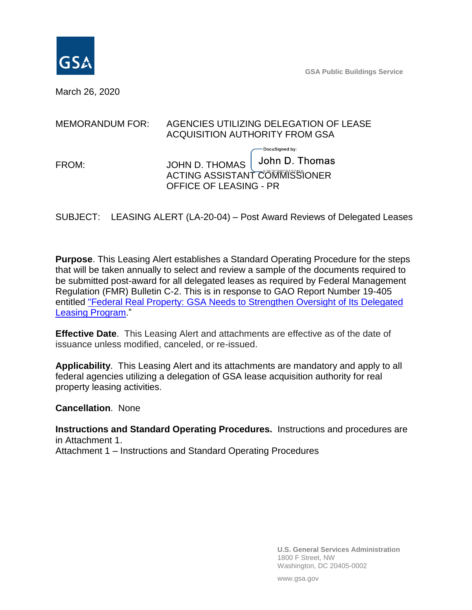

**GSA Public Buildings Service**

March 26, 2020

| <b>MEMORANDUM FOR:</b> | AGENCIES UTILIZING DELEGATION OF LEASE<br>ACQUISITION AUTHORITY FROM GSA         |                                  |
|------------------------|----------------------------------------------------------------------------------|----------------------------------|
| FROM:                  | JOHN D. THOMAS<br>ACTING ASSISTANT COMMISSIONER<br><b>OFFICE OF LEASING - PR</b> | DocuSigned by:<br>John D. Thomas |

SUBJECT: LEASING ALERT (LA-20-04) – Post Award Reviews of Delegated Leases

**Purpose**. This Leasing Alert establishes a Standard Operating Procedure for the steps that will be taken annually to select and review a sample of the documents required to be submitted post-award for all delegated leases as required by Federal Management Regulation (FMR) Bulletin C-2. This is in response to GAO Report Number 19-405 entitle[d](https://www.gao.gov/assets/700/699463.pdf) ["Federal Real Property: GSA Needs to Strengthen Oversight of Its Delegated](https://www.gao.gov/assets/700/699463.pdf)  [Leasing Program.](https://www.gao.gov/assets/700/699463.pdf)"

**Effective Date**. This Leasing Alert and attachments are effective as of the date of issuance unless modified, canceled, or re-issued.

**Applicability**. This Leasing Alert and its attachments are mandatory and apply to all federal agencies utilizing a delegation of GSA lease acquisition authority for real property leasing activities.

**Cancellation**. None

**Instructions and Standard Operating Procedures.** Instructions and procedures are in Attachment 1. Attachment 1 – Instructions and Standard Operating Procedures

> **U.S. General Services Administration** 1800 F Street, NW Washington, DC 20405-0002

www.gsa.gov